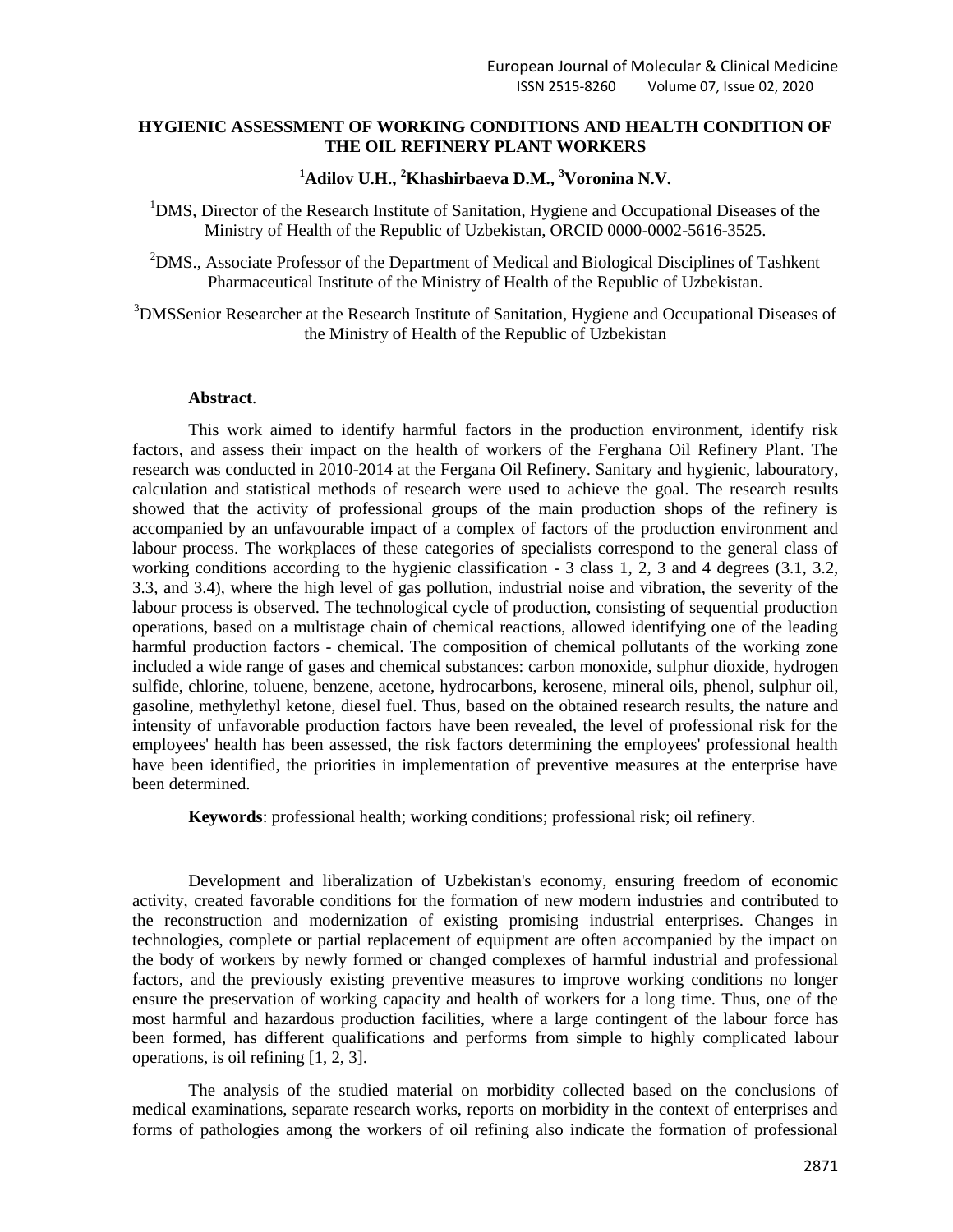## **HYGIENIC ASSESSMENT OF WORKING CONDITIONS AND HEALTH CONDITION OF THE OIL REFINERY PLANT WORKERS**

## **<sup>1</sup>Adilov U.H., <sup>2</sup>Khashirbaeva D.M., <sup>3</sup>Voronina N.V.**

<sup>1</sup>DMS, Director of the Research Institute of Sanitation, Hygiene and Occupational Diseases of the Ministry of Health of the Republic of Uzbekistan, ORCID 0000-0002-5616-3525.

<sup>2</sup>DMS., Associate Professor of the Department of Medical and Biological Disciplines of Tashkent Pharmaceutical Institute of the Ministry of Health of the Republic of Uzbekistan.

<sup>3</sup>DMSSenior Researcher at the Research Institute of Sanitation, Hygiene and Occupational Diseases of the Ministry of Health of the Republic of Uzbekistan

#### **Abstract**.

This work aimed to identify harmful factors in the production environment, identify risk factors, and assess their impact on the health of workers of the Ferghana Oil Refinery Plant. The research was conducted in 2010-2014 at the Fergana Oil Refinery. Sanitary and hygienic, labouratory, calculation and statistical methods of research were used to achieve the goal. The research results showed that the activity of professional groups of the main production shops of the refinery is accompanied by an unfavourable impact of a complex of factors of the production environment and labour process. The workplaces of these categories of specialists correspond to the general class of working conditions according to the hygienic classification - 3 class 1, 2, 3 and 4 degrees (3.1, 3.2, 3.3, and 3.4), where the high level of gas pollution, industrial noise and vibration, the severity of the labour process is observed. The technological cycle of production, consisting of sequential production operations, based on a multistage chain of chemical reactions, allowed identifying one of the leading harmful production factors - chemical. The composition of chemical pollutants of the working zone included a wide range of gases and chemical substances: carbon monoxide, sulphur dioxide, hydrogen sulfide, chlorine, toluene, benzene, acetone, hydrocarbons, kerosene, mineral oils, phenol, sulphur oil, gasoline, methylethyl ketone, diesel fuel. Thus, based on the obtained research results, the nature and intensity of unfavorable production factors have been revealed, the level of professional risk for the employees' health has been assessed, the risk factors determining the employees' professional health have been identified, the priorities in implementation of preventive measures at the enterprise have been determined.

**Keywords**: professional health; working conditions; professional risk; oil refinery.

Development and liberalization of Uzbekistan's economy, ensuring freedom of economic activity, created favorable conditions for the formation of new modern industries and contributed to the reconstruction and modernization of existing promising industrial enterprises. Changes in technologies, complete or partial replacement of equipment are often accompanied by the impact on the body of workers by newly formed or changed complexes of harmful industrial and professional factors, and the previously existing preventive measures to improve working conditions no longer ensure the preservation of working capacity and health of workers for a long time. Thus, one of the most harmful and hazardous production facilities, where a large contingent of the labour force has been formed, has different qualifications and performs from simple to highly complicated labour operations, is oil refining [1, 2, 3].

The analysis of the studied material on morbidity collected based on the conclusions of medical examinations, separate research works, reports on morbidity in the context of enterprises and forms of pathologies among the workers of oil refining also indicate the formation of professional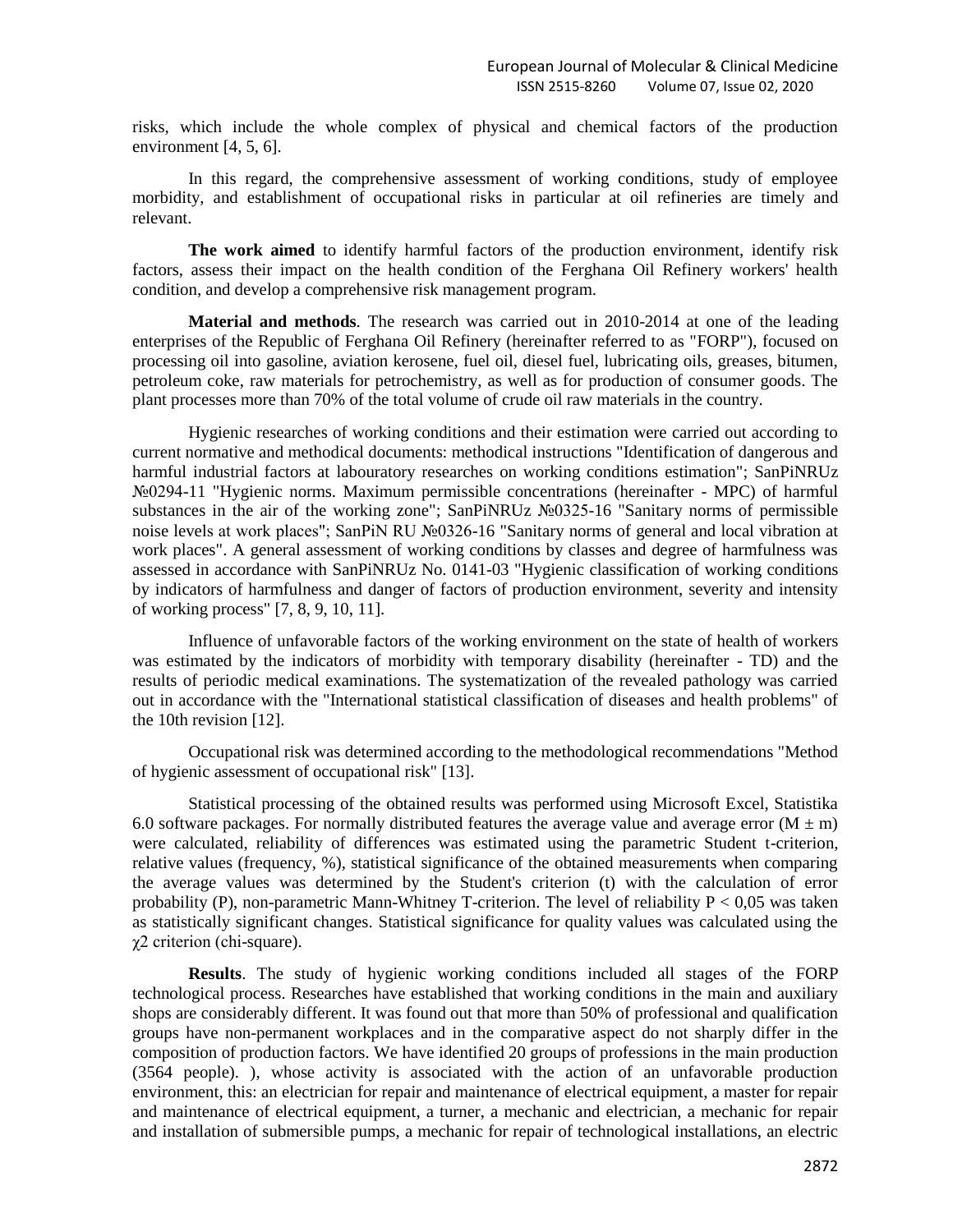risks, which include the whole complex of physical and chemical factors of the production environment [4, 5, 6].

In this regard, the comprehensive assessment of working conditions, study of employee morbidity, and establishment of occupational risks in particular at oil refineries are timely and relevant.

**The work aimed** to identify harmful factors of the production environment, identify risk factors, assess their impact on the health condition of the Ferghana Oil Refinery workers' health condition, and develop a comprehensive risk management program.

**Material and methods**. The research was carried out in 2010-2014 at one of the leading enterprises of the Republic of Ferghana Oil Refinery (hereinafter referred to as "FORP"), focused on processing oil into gasoline, aviation kerosene, fuel oil, diesel fuel, lubricating oils, greases, bitumen, petroleum coke, raw materials for petrochemistry, as well as for production of consumer goods. The plant processes more than 70% of the total volume of crude oil raw materials in the country.

Hygienic researches of working conditions and their estimation were carried out according to current normative and methodical documents: methodical instructions "Identification of dangerous and harmful industrial factors at labouratory researches on working conditions estimation"; SanPiNRUz №0294-11 "Hygienic norms. Maximum permissible concentrations (hereinafter - MPC) of harmful substances in the air of the working zone"; SanPiNRUz №0325-16 "Sanitary norms of permissible noise levels at work places"; SanPiN RU №0326-16 "Sanitary norms of general and local vibration at work places". A general assessment of working conditions by classes and degree of harmfulness was assessed in accordance with SanPiNRUz No. 0141-03 "Hygienic classification of working conditions by indicators of harmfulness and danger of factors of production environment, severity and intensity of working process" [7, 8, 9, 10, 11].

Influence of unfavorable factors of the working environment on the state of health of workers was estimated by the indicators of morbidity with temporary disability (hereinafter - TD) and the results of periodic medical examinations. The systematization of the revealed pathology was carried out in accordance with the "International statistical classification of diseases and health problems" of the 10th revision [12].

Occupational risk was determined according to the methodological recommendations "Method of hygienic assessment of occupational risk" [13].

Statistical processing of the obtained results was performed using Microsoft Excel, Statistika 6.0 software packages. For normally distributed features the average value and average error  $(M \pm m)$ were calculated, reliability of differences was estimated using the parametric Student t-criterion, relative values (frequency, %), statistical significance of the obtained measurements when comparing the average values was determined by the Student's criterion (t) with the calculation of error probability (P), non-parametric Mann-Whitney T-criterion. The level of reliability  $P < 0.05$  was taken as statistically significant changes. Statistical significance for quality values was calculated using the χ2 criterion (chi-square).

**Results**. The study of hygienic working conditions included all stages of the FORP technological process. Researches have established that working conditions in the main and auxiliary shops are considerably different. It was found out that more than 50% of professional and qualification groups have non-permanent workplaces and in the comparative aspect do not sharply differ in the composition of production factors. We have identified 20 groups of professions in the main production (3564 people). ), whose activity is associated with the action of an unfavorable production environment, this: an electrician for repair and maintenance of electrical equipment, a master for repair and maintenance of electrical equipment, a turner, a mechanic and electrician, a mechanic for repair and installation of submersible pumps, a mechanic for repair of technological installations, an electric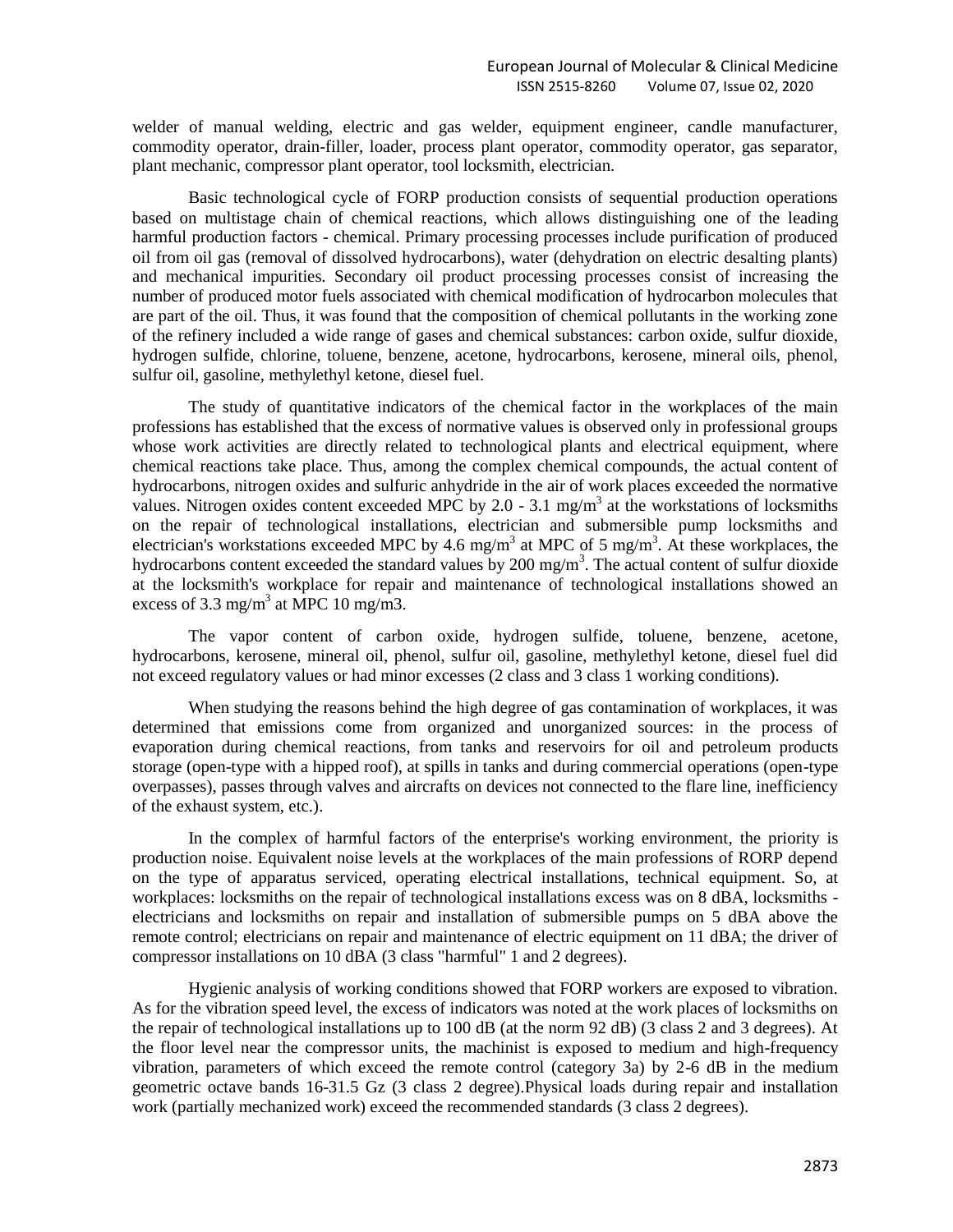welder of manual welding, electric and gas welder, equipment engineer, candle manufacturer, commodity operator, drain-filler, loader, process plant operator, commodity operator, gas separator, plant mechanic, compressor plant operator, tool locksmith, electrician.

Basic technological cycle of FORP production consists of sequential production operations based on multistage chain of chemical reactions, which allows distinguishing one of the leading harmful production factors - chemical. Primary processing processes include purification of produced oil from oil gas (removal of dissolved hydrocarbons), water (dehydration on electric desalting plants) and mechanical impurities. Secondary oil product processing processes consist of increasing the number of produced motor fuels associated with chemical modification of hydrocarbon molecules that are part of the oil. Thus, it was found that the composition of chemical pollutants in the working zone of the refinery included a wide range of gases and chemical substances: carbon oxide, sulfur dioxide, hydrogen sulfide, chlorine, toluene, benzene, acetone, hydrocarbons, kerosene, mineral oils, phenol, sulfur oil, gasoline, methylethyl ketone, diesel fuel.

The study of quantitative indicators of the chemical factor in the workplaces of the main professions has established that the excess of normative values is observed only in professional groups whose work activities are directly related to technological plants and electrical equipment, where chemical reactions take place. Thus, among the complex chemical compounds, the actual content of hydrocarbons, nitrogen oxides and sulfuric anhydride in the air of work places exceeded the normative values. Nitrogen oxides content exceeded MPC by 2.0 - 3.1 mg/m<sup>3</sup> at the workstations of locksmiths on the repair of technological installations, electrician and submersible pump locksmiths and electrician's workstations exceeded MPC by 4.6 mg/m<sup>3</sup> at MPC of 5 mg/m<sup>3</sup>. At these workplaces, the hydrocarbons content exceeded the standard values by  $200 \text{ mg/m}^3$ . The actual content of sulfur dioxide at the locksmith's workplace for repair and maintenance of technological installations showed an excess of 3.3 mg/m<sup>3</sup> at MPC 10 mg/m3.

The vapor content of carbon oxide, hydrogen sulfide, toluene, benzene, acetone, hydrocarbons, kerosene, mineral oil, phenol, sulfur oil, gasoline, methylethyl ketone, diesel fuel did not exceed regulatory values or had minor excesses (2 class and 3 class 1 working conditions).

When studying the reasons behind the high degree of gas contamination of workplaces, it was determined that emissions come from organized and unorganized sources: in the process of evaporation during chemical reactions, from tanks and reservoirs for oil and petroleum products storage (open-type with a hipped roof), at spills in tanks and during commercial operations (open-type overpasses), passes through valves and aircrafts on devices not connected to the flare line, inefficiency of the exhaust system, etc.).

In the complex of harmful factors of the enterprise's working environment, the priority is production noise. Equivalent noise levels at the workplaces of the main professions of RORP depend on the type of apparatus serviced, operating electrical installations, technical equipment. So, at workplaces: locksmiths on the repair of technological installations excess was on 8 dBA, locksmiths electricians and locksmiths on repair and installation of submersible pumps on 5 dBA above the remote control; electricians on repair and maintenance of electric equipment on 11 dBA; the driver of compressor installations on 10 dBA (3 class "harmful" 1 and 2 degrees).

Hygienic analysis of working conditions showed that FORP workers are exposed to vibration. As for the vibration speed level, the excess of indicators was noted at the work places of locksmiths on the repair of technological installations up to 100 dB (at the norm 92 dB) (3 class 2 and 3 degrees). At the floor level near the compressor units, the machinist is exposed to medium and high-frequency vibration, parameters of which exceed the remote control (category 3a) by 2-6 dB in the medium geometric octave bands 16-31.5 Gz (3 class 2 degree).Physical loads during repair and installation work (partially mechanized work) exceed the recommended standards (3 class 2 degrees).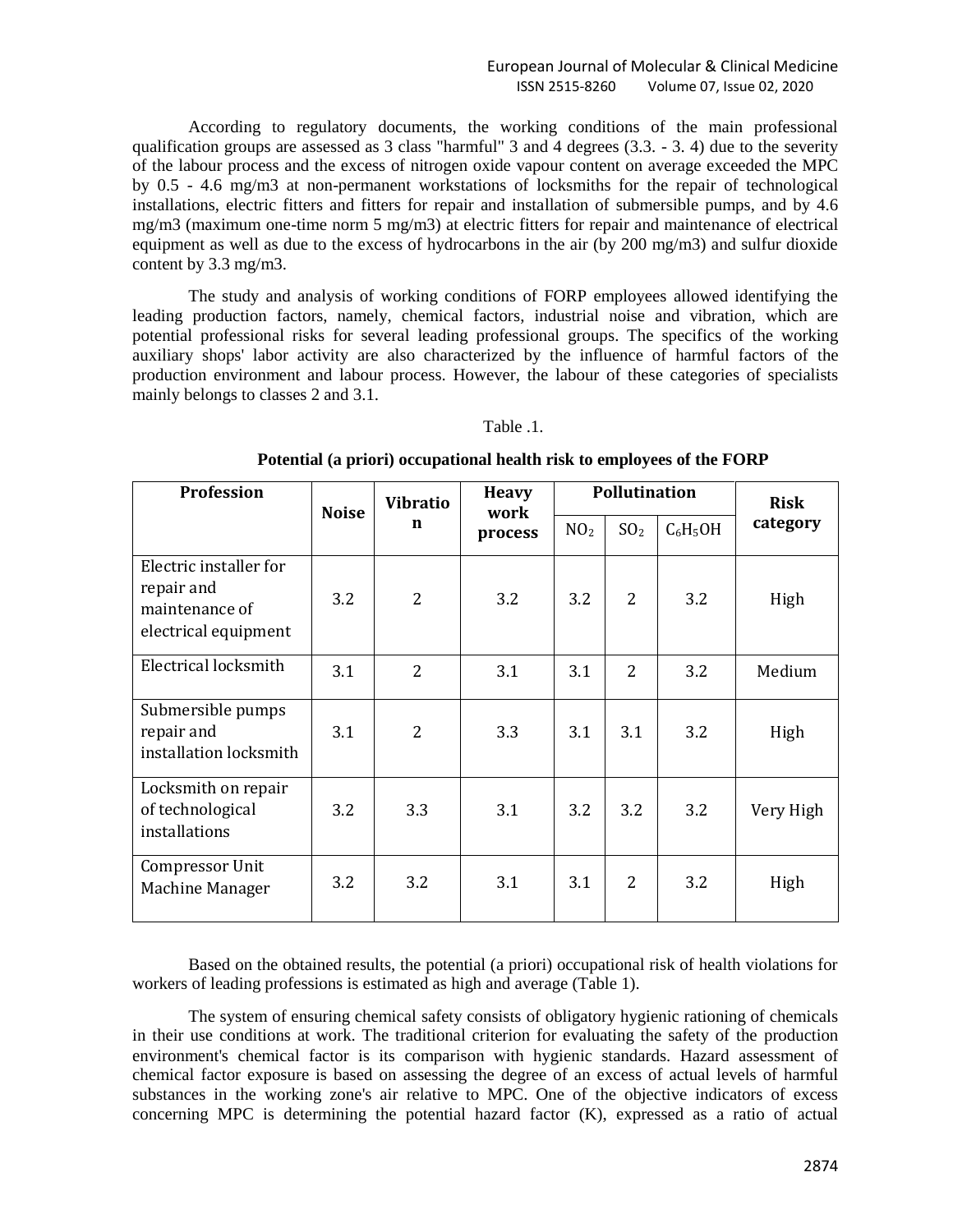### European Journal of Molecular & Clinical Medicine ISSN 2515-8260 Volume 07, Issue 02, 2020

According to regulatory documents, the working conditions of the main professional qualification groups are assessed as 3 class "harmful" 3 and 4 degrees (3.3. - 3. 4) due to the severity of the labour process and the excess of nitrogen oxide vapour content on average exceeded the MPC by 0.5 - 4.6 mg/m3 at non-permanent workstations of locksmiths for the repair of technological installations, electric fitters and fitters for repair and installation of submersible pumps, and by 4.6 mg/m3 (maximum one-time norm 5 mg/m3) at electric fitters for repair and maintenance of electrical equipment as well as due to the excess of hydrocarbons in the air (by 200 mg/m3) and sulfur dioxide content by 3.3 mg/m3.

The study and analysis of working conditions of FORP employees allowed identifying the leading production factors, namely, chemical factors, industrial noise and vibration, which are potential professional risks for several leading professional groups. The specifics of the working auxiliary shops' labor activity are also characterized by the influence of harmful factors of the production environment and labour process. However, the labour of these categories of specialists mainly belongs to classes 2 and 3.1.

#### Table .1.

| <b>Profession</b>                                                              | <b>Noise</b> | <b>Vibratio</b><br>n | <b>Heavy</b><br>work<br>process | Pollutination   |                 |            | <b>Risk</b> |
|--------------------------------------------------------------------------------|--------------|----------------------|---------------------------------|-----------------|-----------------|------------|-------------|
|                                                                                |              |                      |                                 | NO <sub>2</sub> | SO <sub>2</sub> | $C_6H_5OH$ | category    |
| Electric installer for<br>repair and<br>maintenance of<br>electrical equipment | 3.2          | $\overline{2}$       | 3.2                             | 3.2             | $\overline{2}$  | 3.2        | High        |
| Electrical locksmith                                                           | 3.1          | $\overline{2}$       | 3.1                             | 3.1             | $\overline{2}$  | 3.2        | Medium      |
| Submersible pumps<br>repair and<br>installation locksmith                      | 3.1          | $\overline{2}$       | 3.3                             | 3.1             | 3.1             | 3.2        | High        |
| Locksmith on repair<br>of technological<br>installations                       | 3.2          | 3.3                  | 3.1                             | 3.2             | 3.2             | 3.2        | Very High   |
| Compressor Unit<br>Machine Manager                                             | 3.2          | 3.2                  | 3.1                             | 3.1             | $\overline{2}$  | 3.2        | High        |

**Potential (a priori) occupational health risk to employees of the FORP**

Based on the obtained results, the potential (a priori) occupational risk of health violations for workers of leading professions is estimated as high and average (Table 1).

The system of ensuring chemical safety consists of obligatory hygienic rationing of chemicals in their use conditions at work. The traditional criterion for evaluating the safety of the production environment's chemical factor is its comparison with hygienic standards. Hazard assessment of chemical factor exposure is based on assessing the degree of an excess of actual levels of harmful substances in the working zone's air relative to MPC. One of the objective indicators of excess concerning MPC is determining the potential hazard factor (K), expressed as a ratio of actual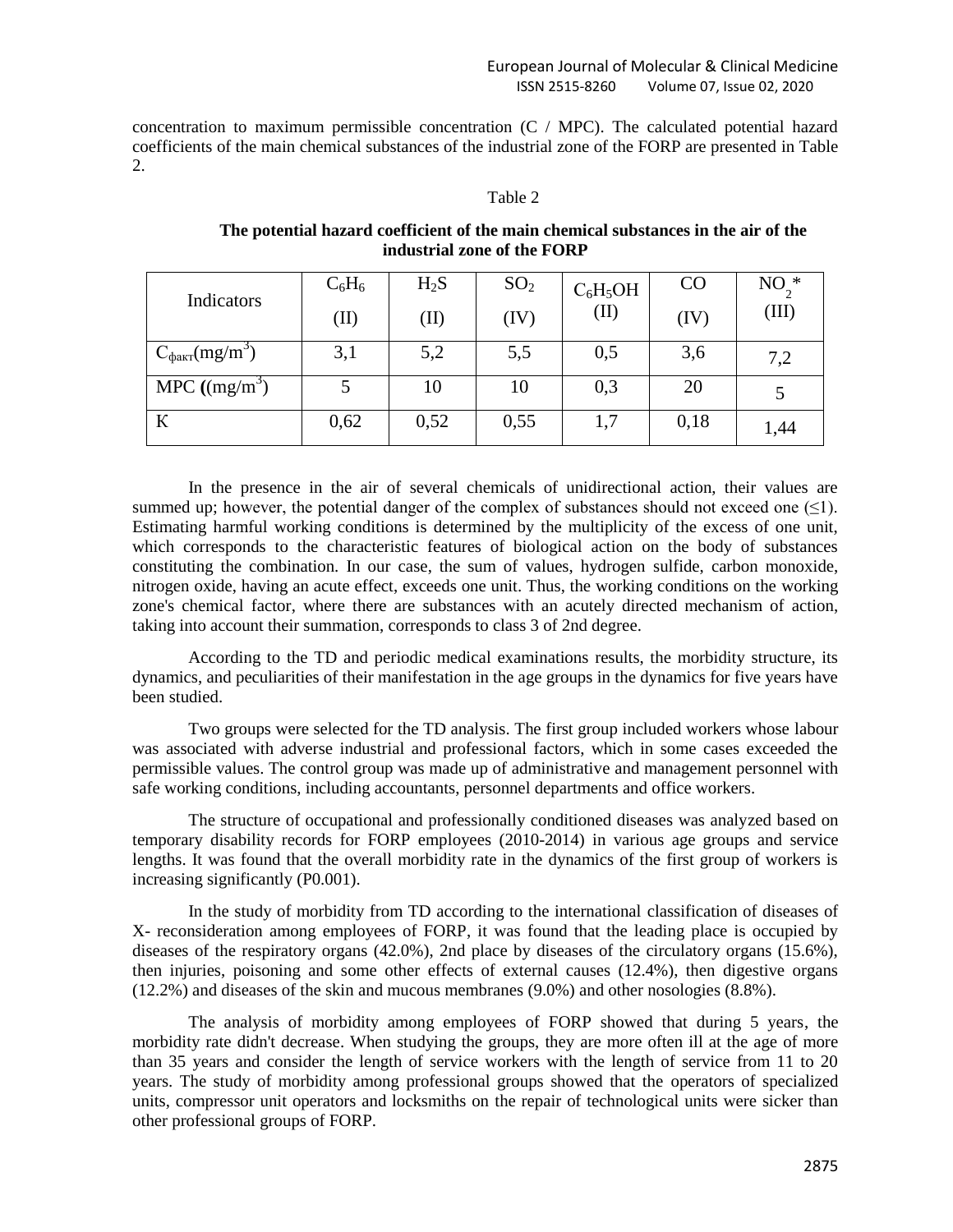concentration to maximum permissible concentration (C / MPC). The calculated potential hazard coefficients of the main chemical substances of the industrial zone of the FORP are presented in Table 2.

#### Table 2

|                                   | $C_6H_6$ | $H_2S$ | SO <sub>2</sub> | $C_6H_5OH$ | CO   | $NO2$ *          |
|-----------------------------------|----------|--------|-----------------|------------|------|------------------|
| Indicators                        | (II)     | (II)   | (IV)            | (II)       | (IV) | $(\mathrm{III})$ |
| $C_{\text{d}_\text{AKT}}(mg/m^3)$ | 3,1      | 5,2    | 5,5             | 0,5        | 3,6  | 7,2              |
| MPC $((mg/m3)$                    |          | 10     | 10              | 0,3        | 20   |                  |
| К                                 | 0,62     | 0,52   | 0,55            | 1,7        | 0,18 | 1,44             |

**The potential hazard coefficient of the main chemical substances in the air of the industrial zone of the FORP**

In the presence in the air of several chemicals of unidirectional action, their values are summed up; however, the potential danger of the complex of substances should not exceed one  $(\leq 1)$ . Estimating harmful working conditions is determined by the multiplicity of the excess of one unit, which corresponds to the characteristic features of biological action on the body of substances constituting the combination. In our case, the sum of values, hydrogen sulfide, carbon monoxide, nitrogen oxide, having an acute effect, exceeds one unit. Thus, the working conditions on the working zone's chemical factor, where there are substances with an acutely directed mechanism of action, taking into account their summation, corresponds to class 3 of 2nd degree.

According to the TD and periodic medical examinations results, the morbidity structure, its dynamics, and peculiarities of their manifestation in the age groups in the dynamics for five years have been studied.

Two groups were selected for the TD analysis. The first group included workers whose labour was associated with adverse industrial and professional factors, which in some cases exceeded the permissible values. The control group was made up of administrative and management personnel with safe working conditions, including accountants, personnel departments and office workers.

The structure of occupational and professionally conditioned diseases was analyzed based on temporary disability records for FORP employees (2010-2014) in various age groups and service lengths. It was found that the overall morbidity rate in the dynamics of the first group of workers is increasing significantly (P0.001).

In the study of morbidity from TD according to the international classification of diseases of X- reconsideration among employees of FORP, it was found that the leading place is occupied by diseases of the respiratory organs (42.0%), 2nd place by diseases of the circulatory organs (15.6%), then injuries, poisoning and some other effects of external causes (12.4%), then digestive organs (12.2%) and diseases of the skin and mucous membranes (9.0%) and other nosologies (8.8%).

The analysis of morbidity among employees of FORP showed that during 5 years, the morbidity rate didn't decrease. When studying the groups, they are more often ill at the age of more than 35 years and consider the length of service workers with the length of service from 11 to 20 years. The study of morbidity among professional groups showed that the operators of specialized units, compressor unit operators and locksmiths on the repair of technological units were sicker than other professional groups of FORP.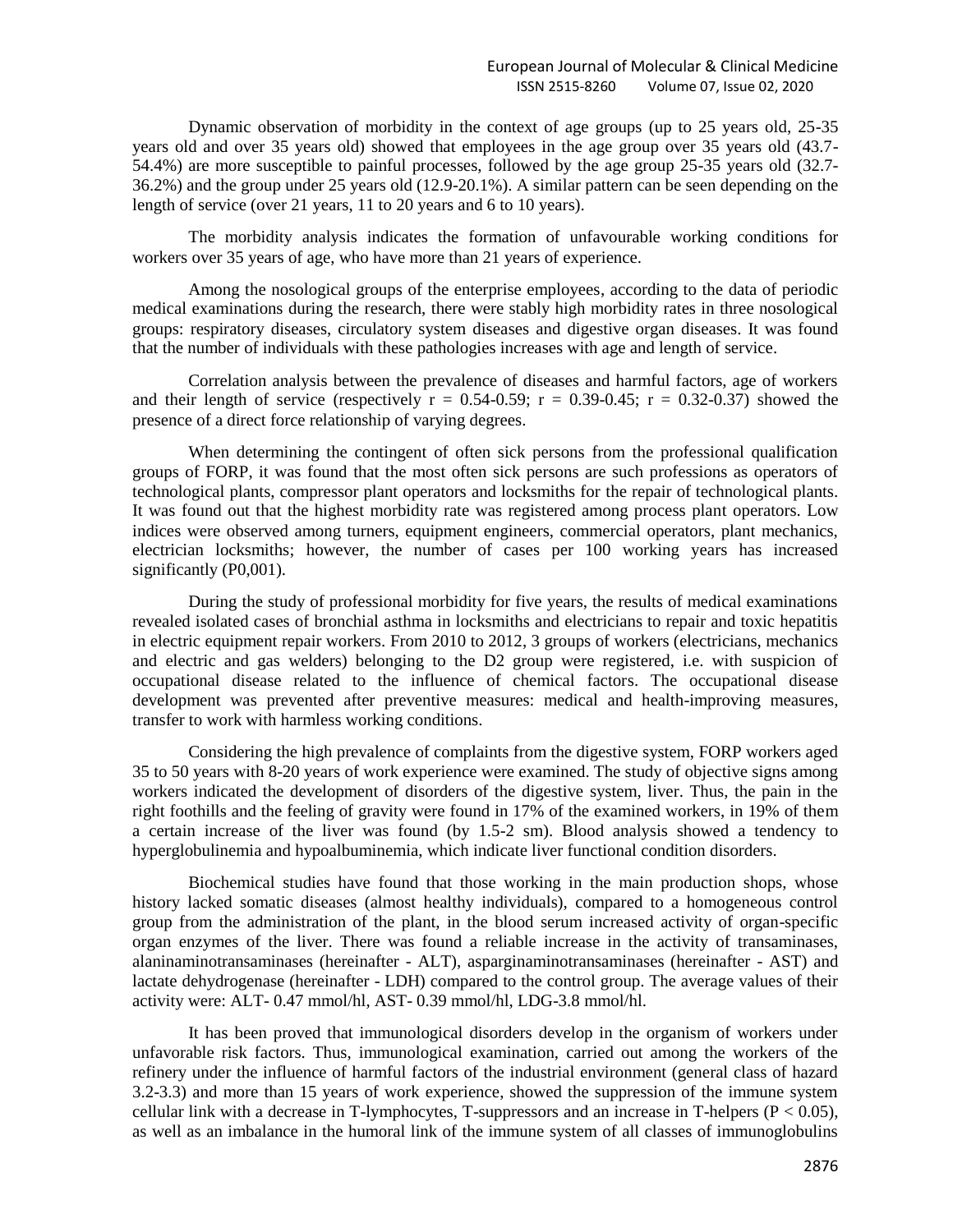Dynamic observation of morbidity in the context of age groups (up to 25 years old, 25-35 years old and over 35 years old) showed that employees in the age group over 35 years old (43.7- 54.4%) are more susceptible to painful processes, followed by the age group 25-35 years old (32.7- 36.2%) and the group under 25 years old (12.9-20.1%). A similar pattern can be seen depending on the length of service (over 21 years, 11 to 20 years and 6 to 10 years).

The morbidity analysis indicates the formation of unfavourable working conditions for workers over 35 years of age, who have more than 21 years of experience.

Among the nosological groups of the enterprise employees, according to the data of periodic medical examinations during the research, there were stably high morbidity rates in three nosological groups: respiratory diseases, circulatory system diseases and digestive organ diseases. It was found that the number of individuals with these pathologies increases with age and length of service.

Correlation analysis between the prevalence of diseases and harmful factors, age of workers and their length of service (respectively  $r = 0.54{\text -}0.59$ ;  $r = 0.39{\text -}0.45$ ;  $r = 0.32{\text -}0.37$ ) showed the presence of a direct force relationship of varying degrees.

When determining the contingent of often sick persons from the professional qualification groups of FORP, it was found that the most often sick persons are such professions as operators of technological plants, compressor plant operators and locksmiths for the repair of technological plants. It was found out that the highest morbidity rate was registered among process plant operators. Low indices were observed among turners, equipment engineers, commercial operators, plant mechanics, electrician locksmiths; however, the number of cases per 100 working years has increased significantly (P0,001).

During the study of professional morbidity for five years, the results of medical examinations revealed isolated cases of bronchial asthma in locksmiths and electricians to repair and toxic hepatitis in electric equipment repair workers. From 2010 to 2012, 3 groups of workers (electricians, mechanics and electric and gas welders) belonging to the D2 group were registered, i.e. with suspicion of occupational disease related to the influence of chemical factors. The occupational disease development was prevented after preventive measures: medical and health-improving measures, transfer to work with harmless working conditions.

Considering the high prevalence of complaints from the digestive system, FORP workers aged 35 to 50 years with 8-20 years of work experience were examined. The study of objective signs among workers indicated the development of disorders of the digestive system, liver. Thus, the pain in the right foothills and the feeling of gravity were found in 17% of the examined workers, in 19% of them a certain increase of the liver was found (by 1.5-2 sm). Blood analysis showed a tendency to hyperglobulinemia and hypoalbuminemia, which indicate liver functional condition disorders.

Biochemical studies have found that those working in the main production shops, whose history lacked somatic diseases (almost healthy individuals), compared to a homogeneous control group from the administration of the plant, in the blood serum increased activity of organ-specific organ enzymes of the liver. There was found a reliable increase in the activity of transaminases, alaninaminotransaminases (hereinafter - ALT), asparginaminotransaminases (hereinafter - AST) and lactate dehydrogenase (hereinafter - LDH) compared to the control group. The average values of their activity were: ALT- 0.47 mmol/hl, AST- 0.39 mmol/hl, LDG-3.8 mmol/hl.

It has been proved that immunological disorders develop in the organism of workers under unfavorable risk factors. Thus, immunological examination, carried out among the workers of the refinery under the influence of harmful factors of the industrial environment (general class of hazard 3.2-3.3) and more than 15 years of work experience, showed the suppression of the immune system cellular link with a decrease in T-lymphocytes, T-suppressors and an increase in T-helpers ( $P < 0.05$ ), as well as an imbalance in the humoral link of the immune system of all classes of immunoglobulins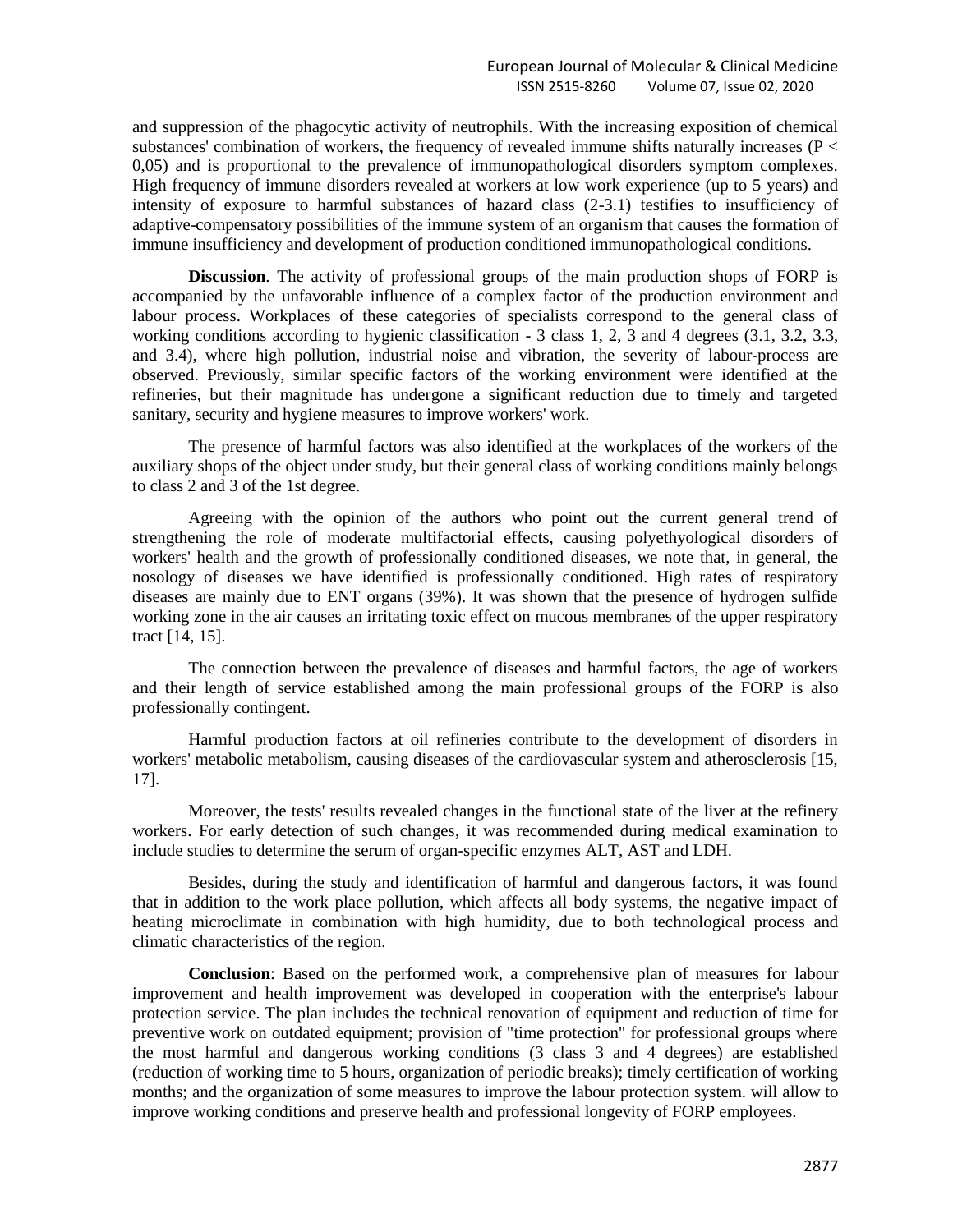and suppression of the phagocytic activity of neutrophils. With the increasing exposition of chemical substances' combination of workers, the frequency of revealed immune shifts naturally increases ( $P <$ 0,05) and is proportional to the prevalence of immunopathological disorders symptom complexes. High frequency of immune disorders revealed at workers at low work experience (up to 5 years) and intensity of exposure to harmful substances of hazard class (2-3.1) testifies to insufficiency of adaptive-compensatory possibilities of the immune system of an organism that causes the formation of immune insufficiency and development of production conditioned immunopathological conditions.

**Discussion**. The activity of professional groups of the main production shops of FORP is accompanied by the unfavorable influence of a complex factor of the production environment and labour process. Workplaces of these categories of specialists correspond to the general class of working conditions according to hygienic classification - 3 class 1, 2, 3 and 4 degrees (3.1, 3.2, 3.3, and 3.4), where high pollution, industrial noise and vibration, the severity of labour-process are observed. Previously, similar specific factors of the working environment were identified at the refineries, but their magnitude has undergone a significant reduction due to timely and targeted sanitary, security and hygiene measures to improve workers' work.

The presence of harmful factors was also identified at the workplaces of the workers of the auxiliary shops of the object under study, but their general class of working conditions mainly belongs to class 2 and 3 of the 1st degree.

Agreeing with the opinion of the authors who point out the current general trend of strengthening the role of moderate multifactorial effects, causing polyethyological disorders of workers' health and the growth of professionally conditioned diseases, we note that, in general, the nosology of diseases we have identified is professionally conditioned. High rates of respiratory diseases are mainly due to ENT organs (39%). It was shown that the presence of hydrogen sulfide working zone in the air causes an irritating toxic effect on mucous membranes of the upper respiratory tract [14, 15].

The connection between the prevalence of diseases and harmful factors, the age of workers and their length of service established among the main professional groups of the FORP is also professionally contingent.

Harmful production factors at oil refineries contribute to the development of disorders in workers' metabolic metabolism, causing diseases of the cardiovascular system and atherosclerosis [15, 17].

Moreover, the tests' results revealed changes in the functional state of the liver at the refinery workers. For early detection of such changes, it was recommended during medical examination to include studies to determine the serum of organ-specific enzymes ALT, AST and LDH.

Besides, during the study and identification of harmful and dangerous factors, it was found that in addition to the work place pollution, which affects all body systems, the negative impact of heating microclimate in combination with high humidity, due to both technological process and climatic characteristics of the region.

**Conclusion**: Based on the performed work, a comprehensive plan of measures for labour improvement and health improvement was developed in cooperation with the enterprise's labour protection service. The plan includes the technical renovation of equipment and reduction of time for preventive work on outdated equipment; provision of "time protection" for professional groups where the most harmful and dangerous working conditions (3 class 3 and 4 degrees) are established (reduction of working time to 5 hours, organization of periodic breaks); timely certification of working months; and the organization of some measures to improve the labour protection system. will allow to improve working conditions and preserve health and professional longevity of FORP employees.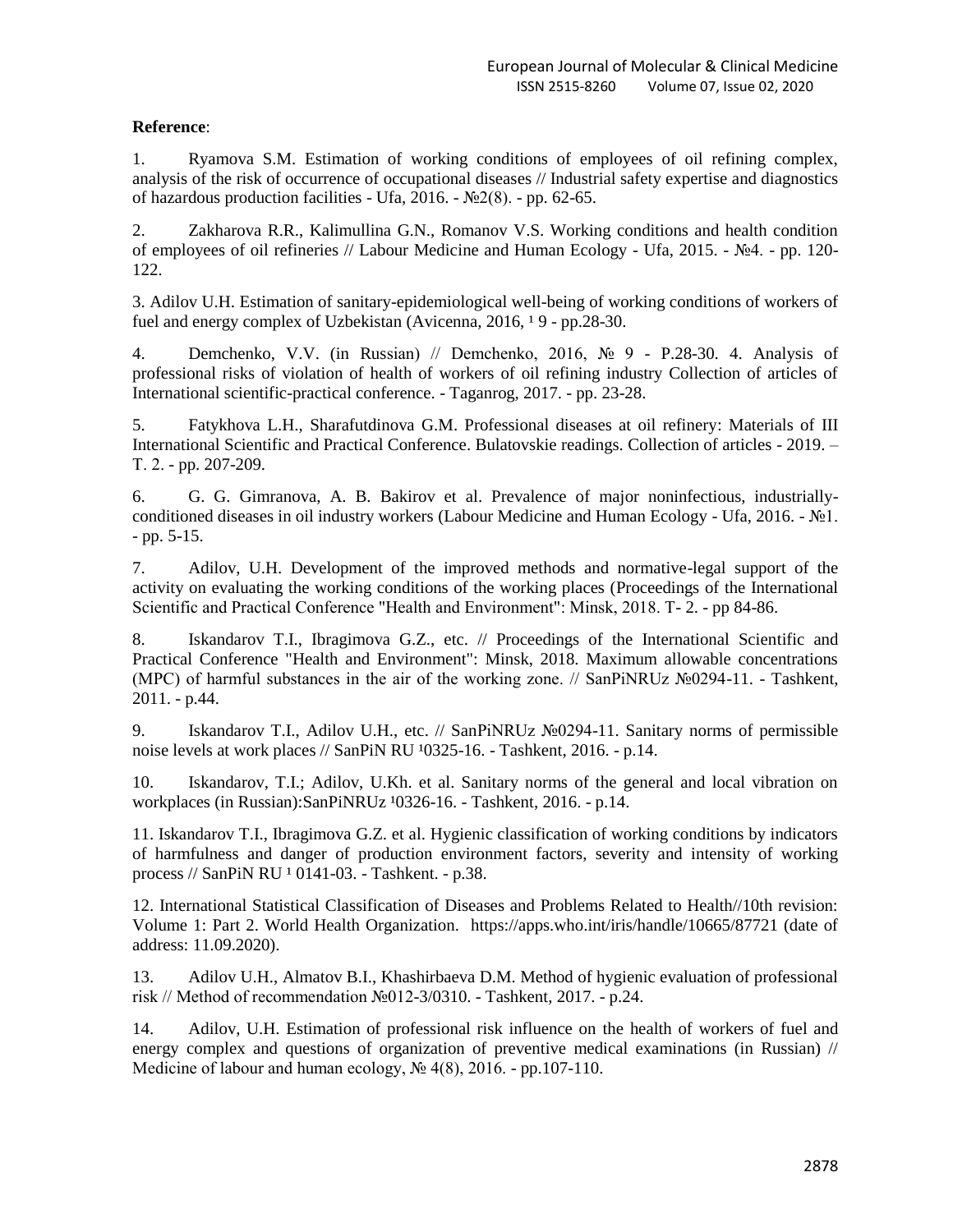# **Reference**:

1. Ryamova S.M. Estimation of working conditions of employees of oil refining complex, analysis of the risk of occurrence of occupational diseases // Industrial safety expertise and diagnostics of hazardous production facilities - Ufa, 2016. -  $\mathbb{N}^2(8)$ . - pp. 62-65.

2. Zakharova R.R., Kalimullina G.N., Romanov V.S. Working conditions and health condition of employees of oil refineries // Labour Medicine and Human Ecology - Ufa, 2015. - №4. - pp. 120- 122.

3. Adilov U.H. Estimation of sanitary-epidemiological well-being of working conditions of workers of fuel and energy complex of Uzbekistan (Avicenna,  $2016$ ,  $19$  - pp.28-30.

4. Demchenko, V.V. (in Russian) // Demchenko, 2016, № 9 - P.28-30. 4. Analysis of professional risks of violation of health of workers of oil refining industry Collection of articles of International scientific-practical conference. - Taganrog, 2017. - pp. 23-28.

5. Fatykhova L.H., Sharafutdinova G.M. Professional diseases at oil refinery: Materials of III International Scientific and Practical Conference. Bulatovskie readings. Collection of articles - 2019. – Т. 2. - pp. 207-209.

6. G. G. Gimranova, A. B. Bakirov et al. Prevalence of major noninfectious, industriallyconditioned diseases in oil industry workers (Labour Medicine and Human Ecology - Ufa, 2016. - №1. - pp. 5-15.

7. Adilov, U.H. Development of the improved methods and normative-legal support of the activity on evaluating the working conditions of the working places (Proceedings of the International Scientific and Practical Conference "Health and Environment": Minsk, 2018. Т- 2. - pp 84-86.

8. Iskandarov T.I., Ibragimova G.Z., etc. // Proceedings of the International Scientific and Practical Conference "Health and Environment": Minsk, 2018. Maximum allowable concentrations (MPC) of harmful substances in the air of the working zone. // SanPiNRUz №0294-11. - Tashkent, 2011. - p.44.

9. Iskandarov T.I., Adilov U.H., etc. // SanPiNRUz №0294-11. Sanitary norms of permissible noise levels at work places  $//$  SanPiN RU  $10325-16.$  - Tashkent, 2016. - p.14.

10. Iskandarov, T.I.; Adilov, U.Kh. et al. Sanitary norms of the general and local vibration on workplaces (in Russian):SanPiNRUz <sup>1</sup>0326-16. - Tashkent, 2016. - p.14.

11. Iskandarov T.I., Ibragimova G.Z. et al. Hygienic classification of working conditions by indicators of harmfulness and danger of production environment factors, severity and intensity of working process // SanPiN RU <sup>1</sup> 0141-03. - Tashkent. - p.38.

12. International Statistical Classification of Diseases and Problems Related to Health//10th revision: Volume 1: Part 2. World Health Organization. https://apps.who.int/iris/handle/10665/87721 (date of address: 11.09.2020).

13. Adilov U.H., Almatov B.I., Khashirbaeva D.M. Method of hygienic evaluation of professional risk // Method of recommendation №012-3/0310. - Tashkent, 2017. - p.24.

14. Adilov, U.H. Estimation of professional risk influence on the health of workers of fuel and energy complex and questions of organization of preventive medical examinations (in Russian) // Medicine of labour and human ecology, № 4(8), 2016. - pp.107-110.